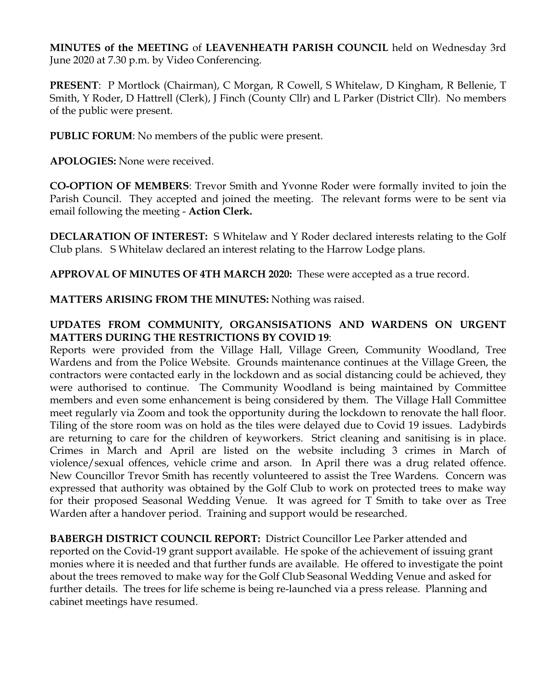**MINUTES of the MEETING** of **LEAVENHEATH PARISH COUNCIL** held on Wednesday 3rd June 2020 at 7.30 p.m. by Video Conferencing.

**PRESENT**: P Mortlock (Chairman), C Morgan, R Cowell, S Whitelaw, D Kingham, R Bellenie, T Smith, Y Roder, D Hattrell (Clerk), J Finch (County Cllr) and L Parker (District Cllr). No members of the public were present.

**PUBLIC FORUM**: No members of the public were present.

**APOLOGIES:** None were received.

**CO-OPTION OF MEMBERS**: Trevor Smith and Yvonne Roder were formally invited to join the Parish Council. They accepted and joined the meeting. The relevant forms were to be sent via email following the meeting - **Action Clerk.**

**DECLARATION OF INTEREST:** S Whitelaw and Y Roder declared interests relating to the Golf Club plans. S Whitelaw declared an interest relating to the Harrow Lodge plans.

**APPROVAL OF MINUTES OF 4TH MARCH 2020:** These were accepted as a true record.

**MATTERS ARISING FROM THE MINUTES:** Nothing was raised.

## **UPDATES FROM COMMUNITY, ORGANSISATIONS AND WARDENS ON URGENT MATTERS DURING THE RESTRICTIONS BY COVID 19**:

Reports were provided from the Village Hall, Village Green, Community Woodland, Tree Wardens and from the Police Website. Grounds maintenance continues at the Village Green, the contractors were contacted early in the lockdown and as social distancing could be achieved, they were authorised to continue. The Community Woodland is being maintained by Committee members and even some enhancement is being considered by them. The Village Hall Committee meet regularly via Zoom and took the opportunity during the lockdown to renovate the hall floor. Tiling of the store room was on hold as the tiles were delayed due to Covid 19 issues. Ladybirds are returning to care for the children of keyworkers. Strict cleaning and sanitising is in place. Crimes in March and April are listed on the website including 3 crimes in March of violence/sexual offences, vehicle crime and arson. In April there was a drug related offence. New Councillor Trevor Smith has recently volunteered to assist the Tree Wardens. Concern was expressed that authority was obtained by the Golf Club to work on protected trees to make way for their proposed Seasonal Wedding Venue. It was agreed for T Smith to take over as Tree Warden after a handover period. Training and support would be researched.

**BABERGH DISTRICT COUNCIL REPORT:** District Councillor Lee Parker attended and reported on the Covid-19 grant support available. He spoke of the achievement of issuing grant monies where it is needed and that further funds are available. He offered to investigate the point about the trees removed to make way for the Golf Club Seasonal Wedding Venue and asked for further details. The trees for life scheme is being re-launched via a press release. Planning and cabinet meetings have resumed.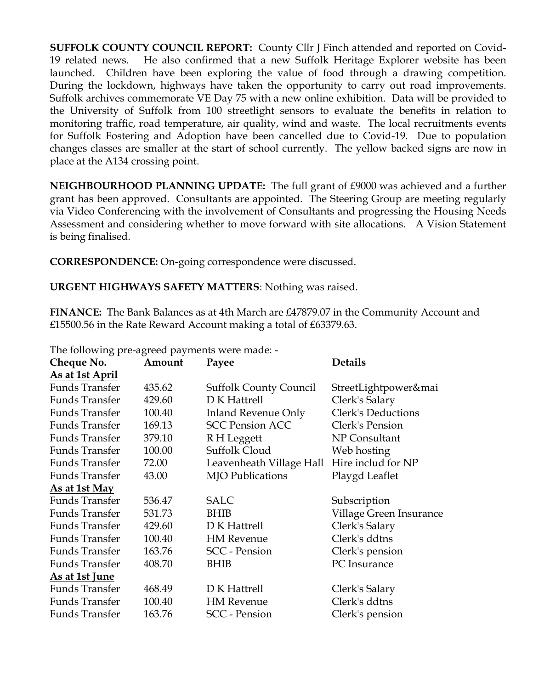**SUFFOLK COUNTY COUNCIL REPORT:** County Cllr J Finch attended and reported on Covid-19 related news. He also confirmed that a new Suffolk Heritage Explorer website has been launched. Children have been exploring the value of food through a drawing competition. During the lockdown, highways have taken the opportunity to carry out road improvements. Suffolk archives commemorate VE Day 75 with a new online exhibition. Data will be provided to the University of Suffolk from 100 streetlight sensors to evaluate the benefits in relation to monitoring traffic, road temperature, air quality, wind and waste. The local recruitments events for Suffolk Fostering and Adoption have been cancelled due to Covid-19. Due to population changes classes are smaller at the start of school currently. The yellow backed signs are now in place at the A134 crossing point.

**NEIGHBOURHOOD PLANNING UPDATE:** The full grant of £9000 was achieved and a further grant has been approved. Consultants are appointed. The Steering Group are meeting regularly via Video Conferencing with the involvement of Consultants and progressing the Housing Needs Assessment and considering whether to move forward with site allocations. A Vision Statement is being finalised.

**CORRESPONDENCE:** On-going correspondence were discussed.

**URGENT HIGHWAYS SAFETY MATTERS**: Nothing was raised.

**FINANCE:** The Bank Balances as at 4th March are £47879.07 in the Community Account and £15500.56 in the Rate Reward Account making a total of £63379.63.

The following pre-agreed payments were made: -

| Cheque No.            | Amount | Payee                         | <b>Details</b>            |
|-----------------------|--------|-------------------------------|---------------------------|
| As at 1st April       |        |                               |                           |
| <b>Funds Transfer</b> | 435.62 | <b>Suffolk County Council</b> | StreetLightpower&mai      |
| <b>Funds Transfer</b> | 429.60 | D K Hattrell                  | Clerk's Salary            |
| <b>Funds Transfer</b> | 100.40 | <b>Inland Revenue Only</b>    | <b>Clerk's Deductions</b> |
| <b>Funds Transfer</b> | 169.13 | <b>SCC Pension ACC</b>        | Clerk's Pension           |
| <b>Funds Transfer</b> | 379.10 | R H Leggett                   | NP Consultant             |
| Funds Transfer        | 100.00 | Suffolk Cloud                 | Web hosting               |
| <b>Funds Transfer</b> | 72.00  | Leavenheath Village Hall      | Hire includ for NP        |
| <b>Funds Transfer</b> | 43.00  | <b>MJO</b> Publications       | Playgd Leaflet            |
| As at 1st May         |        |                               |                           |
| <b>Funds Transfer</b> | 536.47 | <b>SALC</b>                   | Subscription              |
| <b>Funds Transfer</b> | 531.73 | <b>BHIB</b>                   | Village Green Insurance   |
| <b>Funds Transfer</b> | 429.60 | D K Hattrell                  | Clerk's Salary            |
| <b>Funds Transfer</b> | 100.40 | <b>HM</b> Revenue             | Clerk's ddtns             |
| <b>Funds Transfer</b> | 163.76 | <b>SCC</b> - Pension          | Clerk's pension           |
| <b>Funds Transfer</b> | 408.70 | BHIB                          | PC Insurance              |
| As at 1st June        |        |                               |                           |
| <b>Funds Transfer</b> | 468.49 | D K Hattrell                  | Clerk's Salary            |
| <b>Funds Transfer</b> | 100.40 | <b>HM</b> Revenue             | Clerk's ddtns             |
| <b>Funds Transfer</b> | 163.76 | <b>SCC</b> - Pension          | Clerk's pension           |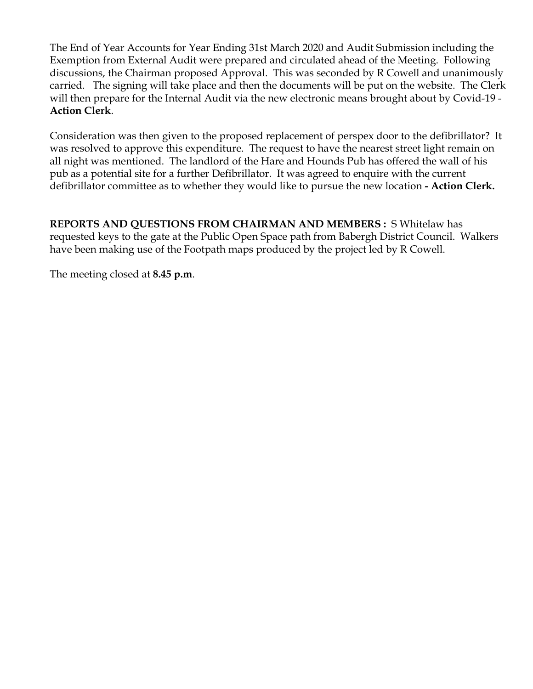The End of Year Accounts for Year Ending 31st March 2020 and Audit Submission including the Exemption from External Audit were prepared and circulated ahead of the Meeting. Following discussions, the Chairman proposed Approval. This was seconded by R Cowell and unanimously carried. The signing will take place and then the documents will be put on the website. The Clerk will then prepare for the Internal Audit via the new electronic means brought about by Covid-19 - **Action Clerk**.

Consideration was then given to the proposed replacement of perspex door to the defibrillator? It was resolved to approve this expenditure. The request to have the nearest street light remain on all night was mentioned. The landlord of the Hare and Hounds Pub has offered the wall of his pub as a potential site for a further Defibrillator. It was agreed to enquire with the current defibrillator committee as to whether they would like to pursue the new location **- Action Clerk.** 

**REPORTS AND QUESTIONS FROM CHAIRMAN AND MEMBERS :** S Whitelaw has requested keys to the gate at the Public Open Space path from Babergh District Council. Walkers have been making use of the Footpath maps produced by the project led by R Cowell.

The meeting closed at **8.45 p.m**.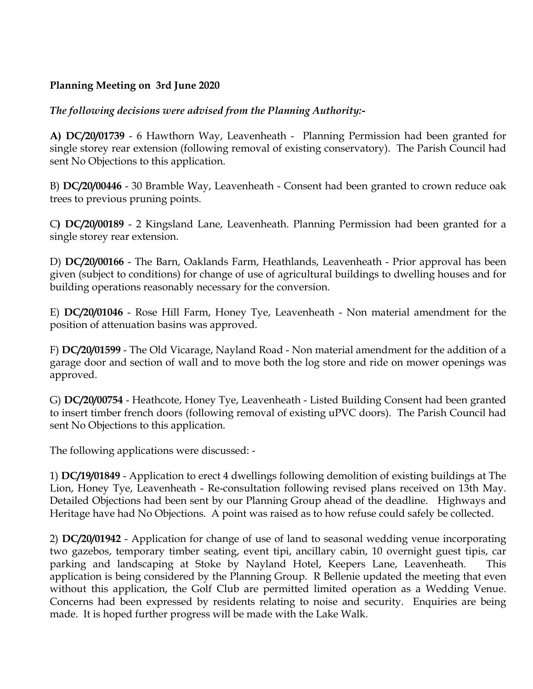## **Planning Meeting on 3rd June 2020**

*The following decisions were advised from the Planning Authority:-*

**A) DC/20/01739** - 6 Hawthorn Way, Leavenheath - Planning Permission had been granted for single storey rear extension (following removal of existing conservatory). The Parish Council had sent No Objections to this application.

B) **DC/20/00446** - 30 Bramble Way, Leavenheath - Consent had been granted to crown reduce oak trees to previous pruning points.

C**) DC/20/00189** - 2 Kingsland Lane, Leavenheath. Planning Permission had been granted for a single storey rear extension.

D) **DC/20/00166** - The Barn, Oaklands Farm, Heathlands, Leavenheath - Prior approval has been given (subject to conditions) for change of use of agricultural buildings to dwelling houses and for building operations reasonably necessary for the conversion.

E) **DC/20/01046** - Rose Hill Farm, Honey Tye, Leavenheath - Non material amendment for the position of attenuation basins was approved.

F) **DC/20/01599** - The Old Vicarage, Nayland Road - Non material amendment for the addition of a garage door and section of wall and to move both the log store and ride on mower openings was approved.

G) **DC/20/00754** - Heathcote, Honey Tye, Leavenheath - Listed Building Consent had been granted to insert timber french doors (following removal of existing uPVC doors). The Parish Council had sent No Objections to this application.

The following applications were discussed: -

1) **DC/19/01849** - Application to erect 4 dwellings following demolition of existing buildings at The Lion, Honey Tye, Leavenheath - Re-consultation following revised plans received on 13th May. Detailed Objections had been sent by our Planning Group ahead of the deadline. Highways and Heritage have had No Objections. A point was raised as to how refuse could safely be collected.

2) **DC/20/01942** - Application for change of use of land to seasonal wedding venue incorporating two gazebos, temporary timber seating, event tipi, ancillary cabin, 10 overnight guest tipis, car parking and landscaping at Stoke by Nayland Hotel, Keepers Lane, Leavenheath. This application is being considered by the Planning Group. R Bellenie updated the meeting that even without this application, the Golf Club are permitted limited operation as a Wedding Venue. Concerns had been expressed by residents relating to noise and security. Enquiries are being made. It is hoped further progress will be made with the Lake Walk.